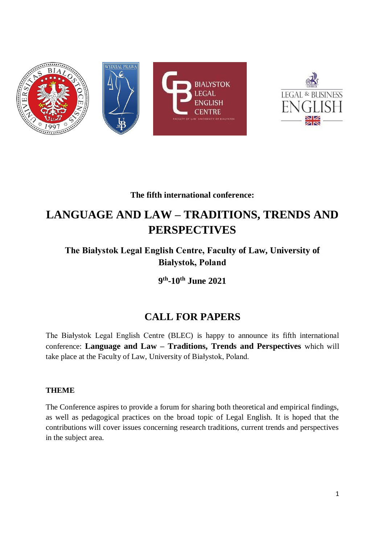



# **The fifth international conference:**

# **LANGUAGE AND LAW – TRADITIONS, TRENDS AND PERSPECTIVES**

**The Białystok Legal English Centre, Faculty of Law, University of Białystok, Poland**

**9 th -10th June 2021**

# **CALL FOR PAPERS**

The Białystok Legal English Centre (BLEC) is happy to announce its fifth international conference: **Language and Law – Traditions, Trends and Perspectives** which will take place at the Faculty of Law, University of Białystok, Poland.

## **THEME**

The Conference aspires to provide a forum for sharing both theoretical and empirical findings, as well as pedagogical practices on the broad topic of Legal English. It is hoped that the contributions will cover issues concerning research traditions, current trends and perspectives in the subject area.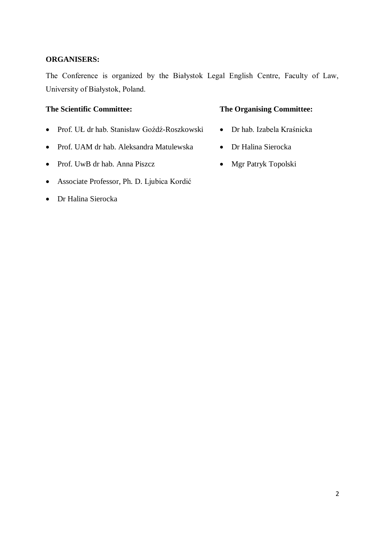#### **ORGANISERS:**

The Conference is organized by the Białystok Legal English Centre, Faculty of Law, University of Białystok, Poland.

- Prof. UŁ dr hab. Stanisław Goźdź-Roszkowski Dr hab. Izabela Kraśnicka
- Prof. UAM dr hab. Aleksandra Matulewska Dr Halina Sierocka
- Prof. UwB dr hab. Anna Piszcz Mgr Patryk Topolski
- Associate Professor, Ph. D. Ljubica Kordić
- Dr Halina Sierocka

#### **The Scientific Committee: The Organising Committee:**

- 
- 
-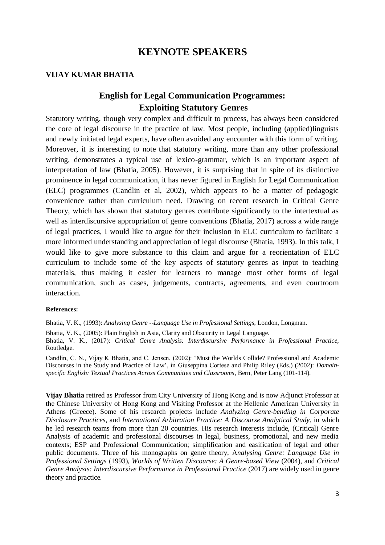# **KEYNOTE SPEAKERS**

#### **VIJAY KUMAR BHATIA**

# **English for Legal Communication Programmes: Exploiting Statutory Genres**

Statutory writing, though very complex and difficult to process, has always been considered the core of legal discourse in the practice of law. Most people, including (applied)linguists and newly initiated legal experts, have often avoided any encounter with this form of writing. Moreover, it is interesting to note that statutory writing, more than any other professional writing, demonstrates a typical use of lexico-grammar, which is an important aspect of interpretation of law (Bhatia, 2005). However, it is surprising that in spite of its distinctive prominence in legal communication, it has never figured in English for Legal Communication (ELC) programmes (Candlin et al, 2002), which appears to be a matter of pedagogic convenience rather than curriculum need. Drawing on recent research in Critical Genre Theory, which has shown that statutory genres contribute significantly to the intertextual as well as interdiscursive appropriation of genre conventions (Bhatia, 2017) across a wide range of legal practices, I would like to argue for their inclusion in ELC curriculum to facilitate a more informed understanding and appreciation of legal discourse (Bhatia, 1993). In this talk, I would like to give more substance to this claim and argue for a reorientation of ELC curriculum to include some of the key aspects of statutory genres as input to teaching materials, thus making it easier for learners to manage most other forms of legal communication, such as cases, judgements, contracts, agreements, and even courtroom interaction.

#### **References:**

Bhatia, V. K., (1993): *Analysing Genre --Language Use in Professional Settings*, London, Longman.

Bhatia, V. K., (2005): Plain English in Asia, Clarity and Obscurity in Legal Language.

Bhatia, V. K., (2017): *Critical Genre Analysis: Interdiscursive Performance in Professional Practice,*  Routledge.

Candlin, C. N., Vijay K Bhatia, and C. Jensen, (2002): 'Must the Worlds Collide? Professional and Academic Discourses in the Study and Practice of Law', in Giuseppina Cortese and Philip Riley (Eds.) (2002): *Domainspecific English: Textual Practices Across Communities and Classrooms*, Bern, Peter Lang (101-114).

**Vijay Bhatia** retired as Professor from City University of Hong Kong and is now Adjunct Professor at the Chinese University of Hong Kong and Visiting Professor at the Hellenic American University in Athens (Greece). Some of his research projects include *Analyzing Genre-bending in Corporate Disclosure Practices*, and *International Arbitration Practice: A Discourse Analytical Study*, in which he led research teams from more than 20 countries. His research interests include, (Critical) Genre Analysis of academic and professional discourses in legal, business, promotional, and new media contexts; ESP and Professional Communication; simplification and easification of legal and other public documents. Three of his monographs on genre theory, A*nalysing Genre: Language Use in Professional Settings* (1993), *Worlds of Written Discourse: A Genre-based View* (2004)*,* and *Critical*  Genre Analysis: Interdiscursive Performance in Professional Practice (2017) are widely used in genre theory and practice.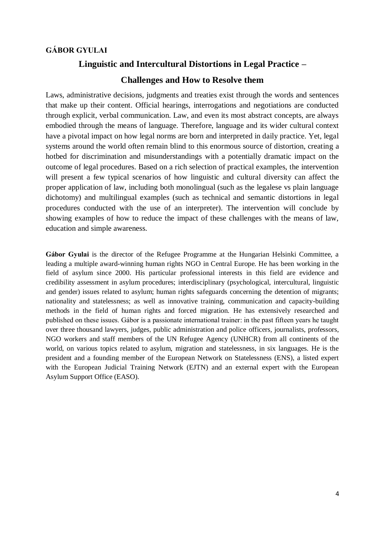#### **GÁBOR GYULAI**

# **Linguistic and Intercultural Distortions in Legal Practice –**

#### **Challenges and How to Resolve them**

Laws, administrative decisions, judgments and treaties exist through the words and sentences that make up their content. Official hearings, interrogations and negotiations are conducted through explicit, verbal communication. Law, and even its most abstract concepts, are always embodied through the means of language. Therefore, language and its wider cultural context have a pivotal impact on how legal norms are born and interpreted in daily practice. Yet, legal systems around the world often remain blind to this enormous source of distortion, creating a hotbed for discrimination and misunderstandings with a potentially dramatic impact on the outcome of legal procedures. Based on a rich selection of practical examples, the intervention will present a few typical scenarios of how linguistic and cultural diversity can affect the proper application of law, including both monolingual (such as the legalese vs plain language dichotomy) and multilingual examples (such as technical and semantic distortions in legal procedures conducted with the use of an interpreter). The intervention will conclude by showing examples of how to reduce the impact of these challenges with the means of law, education and simple awareness.

**Gábor Gyulai** is the director of the Refugee Programme at the Hungarian Helsinki Committee, a leading a multiple award-winning human rights NGO in Central Europe. He has been working in the field of asylum since 2000. His particular professional interests in this field are evidence and credibility assessment in asylum procedures; interdisciplinary (psychological, intercultural, linguistic and gender) issues related to asylum; human rights safeguards concerning the detention of migrants; nationality and statelessness; as well as innovative training, communication and capacity-building methods in the field of human rights and forced migration. He has extensively researched and published on these issues. Gábor is a passionate international trainer: in the past fifteen years he taught over three thousand lawyers, judges, public administration and police officers, journalists, professors, NGO workers and staff members of the UN Refugee Agency (UNHCR) from all continents of the world, on various topics related to asylum, migration and statelessness, in six languages. He is the president and a founding member of the European Network on Statelessness (ENS), a listed expert with the European Judicial Training Network (EJTN) and an external expert with the European Asylum Support Office (EASO).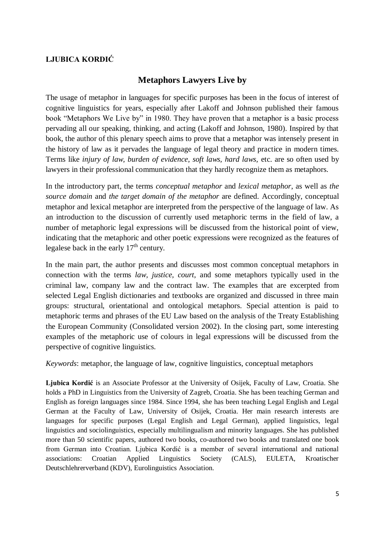# **LJUBICA KORDIĆ**

# **Metaphors Lawyers Live by**

The usage of metaphor in languages for specific purposes has been in the focus of interest of cognitive linguistics for years, especially after Lakoff and Johnson published their famous book "Metaphors We Live by" in 1980. They have proven that a metaphor is a basic process pervading all our speaking, thinking, and acting (Lakoff and Johnson, 1980). Inspired by that book, the author of this plenary speech aims to prove that a metaphor was intensely present in the history of law as it pervades the language of legal theory and practice in modern times. Terms like *injury of law, burden of evidence, soft laws, hard laws,* etc. are so often used by lawyers in their professional communication that they hardly recognize them as metaphors.

In the introductory part, the terms *conceptual metaphor* and *lexical metaphor*, as well as *the source domain* and *the target domain of the metaphor* are defined. Accordingly, conceptual metaphor and lexical metaphor are interpreted from the perspective of the language of law. As an introduction to the discussion of currently used metaphoric terms in the field of law, a number of metaphoric legal expressions will be discussed from the historical point of view, indicating that the metaphoric and other poetic expressions were recognized as the features of legalese back in the early 17<sup>th</sup> century.

In the main part, the author presents and discusses most common conceptual metaphors in connection with the terms *law, justice, court,* and some metaphors typically used in the criminal law, company law and the contract law. The examples that are excerpted from selected Legal English dictionaries and textbooks are organized and discussed in three main groups: structural, orientational and ontological metaphors. Special attention is paid to metaphoric terms and phrases of the EU Law based on the analysis of the Treaty Establishing the European Community (Consolidated version 2002). In the closing part, some interesting examples of the metaphoric use of colours in legal expressions will be discussed from the perspective of cognitive linguistics.

*Keywords*: metaphor, the language of law, cognitive linguistics, conceptual metaphors

**Ljubica Kordić** is an Associate Professor at the University of Osijek, Faculty of Law, Croatia. She holds a PhD in Linguistics from the University of Zagreb, Croatia. She has been teaching German and English as foreign languages since 1984. Since 1994, she has been teaching Legal English and Legal German at the Faculty of Law, University of Osijek, Croatia. Her main research interests are languages for specific purposes (Legal English and Legal German), applied linguistics, legal linguistics and sociolinguistics, especially multilingualism and minority languages. She has published more than 50 scientific papers, authored two books, co-authored two books and translated one book from German into Croatian. Ljubica Kordić is a member of several international and national associations: Croatian Applied Linguistics Society (CALS), EULETA, Kroatischer Deutschlehrerverband (KDV), Eurolinguistics Association.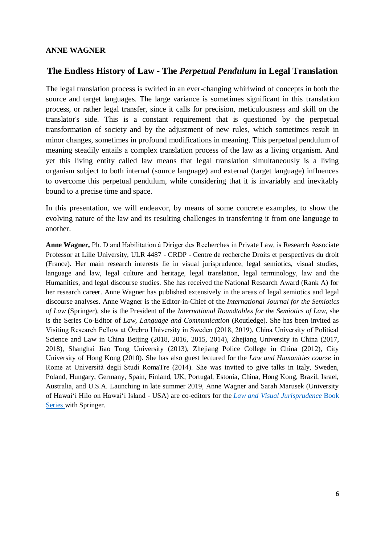#### **ANNE WAGNER**

# **The Endless History of Law - The** *Perpetual Pendulum* **in Legal Translation**

The legal translation process is swirled in an ever-changing whirlwind of concepts in both the source and target languages. The large variance is sometimes significant in this translation process, or rather legal transfer, since it calls for precision, meticulousness and skill on the translator's side. This is a constant requirement that is questioned by the perpetual transformation of society and by the adjustment of new rules, which sometimes result in minor changes, sometimes in profound modifications in meaning. This perpetual pendulum of meaning steadily entails a complex translation process of the law as a living organism. And yet this living entity called law means that legal translation simultaneously is a living organism subject to both internal (source language) and external (target language) influences to overcome this perpetual pendulum, while considering that it is invariably and inevitably bound to a precise time and space.

In this presentation, we will endeavor, by means of some concrete examples, to show the evolving nature of the law and its resulting challenges in transferring it from one language to another.

**Anne Wagner,** Ph. D and Habilitation à Diriger des Recherches in Private Law, is Research Associate Professor at Lille University, ULR 4487 - CRDP - Centre de recherche Droits et perspectives du droit (France). Her main research interests lie in visual jurisprudence, legal semiotics, visual studies, language and law, legal culture and heritage, legal translation, legal terminology, law and the Humanities, and legal discourse studies. She has received the National Research Award (Rank A) for her research career. Anne Wagner has published extensively in the areas of legal semiotics and legal discourse analyses*.* Anne Wagner is the Editor-in-Chief of the *International Journal for the Semiotics of Law* (Springer), she is the President of the *International Roundtables for the Semiotics of Law*, she is the Series Co-Editor of *Law, Language and Communication* (Routledge). She has been invited as Visiting Research Fellow at Örebro University in Sweden (2018, 2019), China University of Political Science and Law in China Beijing (2018, 2016, 2015, 2014), Zhejiang University in China (2017, 2018), Shanghai Jiao Tong University (2013), Zhejiang Police College in China (2012), City University of Hong Kong (2010). She has also guest lectured for the *Law and Humanities course* in Rome at Università degli Studi RomaTre (2014). She was invited to give talks in Italy, Sweden, Poland, Hungary, Germany, Spain, Finland, UK, Portugal, Estonia, China, Hong Kong, Brazil, Israel, Australia, and U.S.A. Launching in late summer 2019, Anne Wagner and Sarah Marusek (University of Hawai'i Hilo on Hawai'i Island - USA) are co-editors for the *[Law and Visual Jurisprudence](https://www.springer.com/series/16413)* Book [Series](https://www.springer.com/series/16413) with Springer.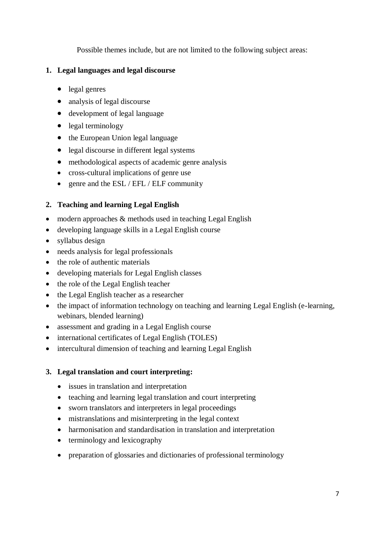Possible themes include, but are not limited to the following subject areas:

# **1. Legal languages and legal discourse**

- legal genres
- analysis of legal discourse
- development of legal language
- legal terminology
- the European Union legal language
- legal discourse in different legal systems
- methodological aspects of academic genre analysis
- cross-cultural implications of genre use
- genre and the ESL / EFL / ELF community

# **2. Teaching and learning Legal English**

- modern approaches & methods used in teaching Legal English
- developing language skills in a Legal English course
- syllabus design
- needs analysis for legal professionals
- the role of authentic materials
- developing materials for Legal English classes
- the role of the Legal English teacher
- the Legal English teacher as a researcher
- the impact of information technology on teaching and learning Legal English (e-learning, webinars, blended learning)
- assessment and grading in a Legal English course
- international certificates of Legal English (TOLES)
- intercultural dimension of teaching and learning Legal English

# **3. Legal translation and court interpreting:**

- issues in translation and interpretation
- teaching and learning legal translation and court interpreting
- sworn translators and interpreters in legal proceedings
- mistranslations and misinterpreting in the legal context
- harmonisation and standardisation in translation and interpretation
- terminology and lexicography
- preparation of glossaries and dictionaries of professional terminology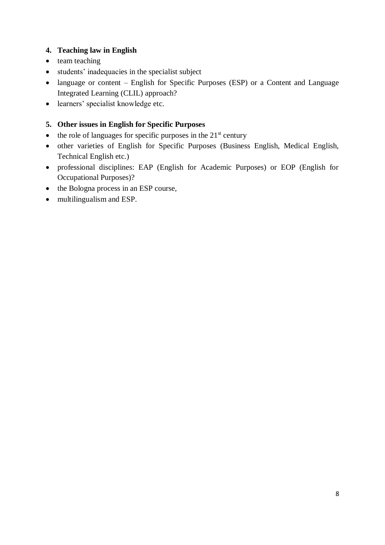# **4. Teaching law in English**

- team teaching
- students' inadequacies in the specialist subject
- language or content English for Specific Purposes (ESP) or a Content and Language Integrated Learning (CLIL) approach?
- learners' specialist knowledge etc.

# **5. Other issues in English for Specific Purposes**

- $\bullet$  the role of languages for specific purposes in the 21<sup>st</sup> century
- other varieties of English for Specific Purposes (Business English, Medical English, Technical English etc.)
- professional disciplines: EAP (English for Academic Purposes) or EOP (English for Occupational Purposes)?
- the Bologna process in an ESP course,
- multilingualism and ESP.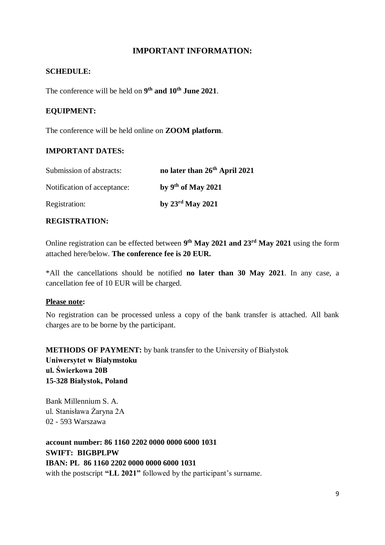# **IMPORTANT INFORMATION:**

## **SCHEDULE:**

The conference will be held on **9 th and 10th June 2021**.

## **EQUIPMENT:**

The conference will be held online on **ZOOM platform**.

#### **IMPORTANT DATES:**

| Submission of abstracts:    | no later than 26 <sup>th</sup> April 2021 |
|-----------------------------|-------------------------------------------|
| Notification of acceptance: | by $9th$ of May 2021                      |
| Registration:               | by 23 <sup>rd</sup> May 2021              |

#### **REGISTRATION:**

Online registration can be effected between **9 th May 2021 and 23rd May 2021** using the form attached here/below. **The conference fee is 20 EUR.**

\*All the cancellations should be notified **no later than 30 May 2021**. In any case, a cancellation fee of 10 EUR will be charged.

#### **Please note:**

No registration can be processed unless a copy of the bank transfer is attached. All bank charges are to be borne by the participant.

**METHODS OF PAYMENT:** by bank transfer to the University of Białystok **Uniwersytet w Białymstoku ul. Świerkowa 20B 15-328 Białystok, Poland**

Bank Millennium S. A. ul. Stanisława Żaryna 2A 02 - 593 Warszawa

**account number: 86 1160 2202 0000 0000 6000 1031 SWIFT: BIGBPLPW IBAN: PL 86 1160 2202 0000 0000 6000 1031** with the postscript **"LL 2021"** followed by the participant's surname.